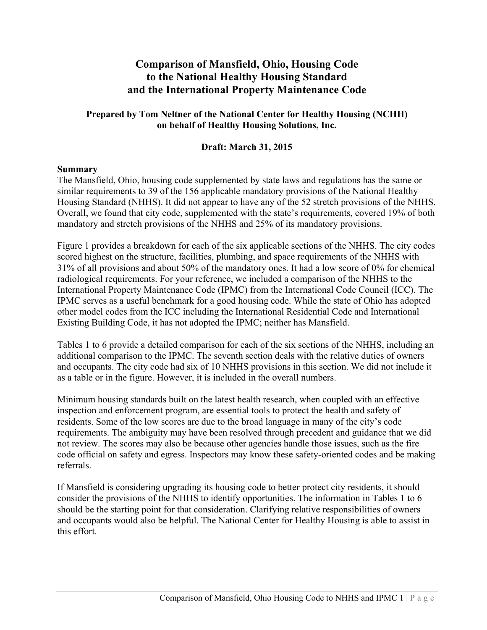## **Comparison of Mansfield, Ohio, Housing Code to the National Healthy Housing Standard and the International Property Maintenance Code**

## **Prepared by Tom Neltner of the National Center for Healthy Housing (NCHH) on behalf of Healthy Housing Solutions, Inc.**

## **Draft: March 31, 2015**

### **Summary**

The Mansfield, Ohio, housing code supplemented by state laws and regulations has the same or similar requirements to 39 of the 156 applicable mandatory provisions of the National Healthy Housing Standard (NHHS). It did not appear to have any of the 52 stretch provisions of the NHHS. Overall, we found that city code, supplemented with the state's requirements, covered 19% of both mandatory and stretch provisions of the NHHS and 25% of its mandatory provisions.

Figure 1 provides a breakdown for each of the six applicable sections of the NHHS. The city codes scored highest on the structure, facilities, plumbing, and space requirements of the NHHS with 31% of all provisions and about 50% of the mandatory ones. It had a low score of 0% for chemical radiological requirements. For your reference, we included a comparison of the NHHS to the International Property Maintenance Code (IPMC) from the International Code Council (ICC). The IPMC serves as a useful benchmark for a good housing code. While the state of Ohio has adopted other model codes from the ICC including the International Residential Code and International Existing Building Code, it has not adopted the IPMC; neither has Mansfield.

Tables 1 to 6 provide a detailed comparison for each of the six sections of the NHHS, including an additional comparison to the IPMC. The seventh section deals with the relative duties of owners and occupants. The city code had six of 10 NHHS provisions in this section. We did not include it as a table or in the figure. However, it is included in the overall numbers.

Minimum housing standards built on the latest health research, when coupled with an effective inspection and enforcement program, are essential tools to protect the health and safety of residents. Some of the low scores are due to the broad language in many of the city's code requirements. The ambiguity may have been resolved through precedent and guidance that we did not review. The scores may also be because other agencies handle those issues, such as the fire code official on safety and egress. Inspectors may know these safety-oriented codes and be making referrals.

If Mansfield is considering upgrading its housing code to better protect city residents, it should consider the provisions of the NHHS to identify opportunities. The information in Tables 1 to 6 should be the starting point for that consideration. Clarifying relative responsibilities of owners and occupants would also be helpful. The National Center for Healthy Housing is able to assist in this effort.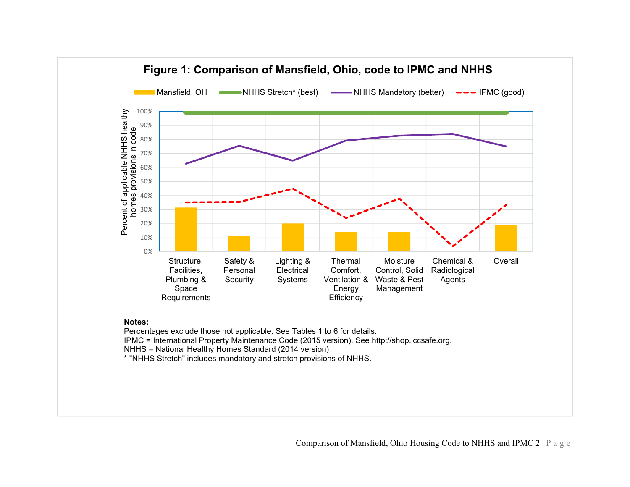

# **Figure 1: Comparison of Mansfield, Ohio, code to IPMCand NHHS**

#### **Notes:**

Percentages exclude those not applicable. See Tables 1 to 6 for details.

IPMC = International Property Maintenance Code (2015 version). See http://shop.iccsafe.org.

NHHS = National Healthy Homes Standard (2014 version)

\* "NHHS Stretch" includes mandatory and stretch provisions of NHHS.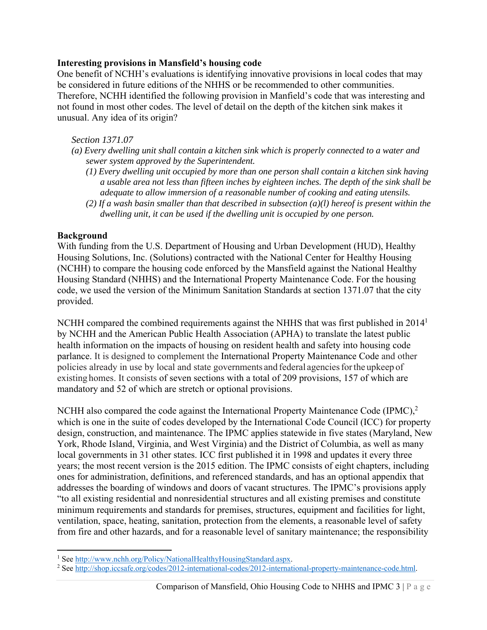## **Interesting provisions in Mansfield's housing code**

One benefit of NCHH's evaluations is identifying innovative provisions in local codes that may be considered in future editions of the NHHS or be recommended to other communities. Therefore, NCHH identified the following provision in Manfield's code that was interesting and not found in most other codes. The level of detail on the depth of the kitchen sink makes it unusual. Any idea of its origin?

## *Section 1371.07*

- *(a) Every dwelling unit shall contain a kitchen sink which is properly connected to a water and sewer system approved by the Superintendent.* 
	- *(1) Every dwelling unit occupied by more than one person shall contain a kitchen sink having a usable area not less than fifteen inches by eighteen inches. The depth of the sink shall be adequate to allow immersion of a reasonable number of cooking and eating utensils.*
	- *(2) If a wash basin smaller than that described in subsection (a)(l) hereof is present within the dwelling unit, it can be used if the dwelling unit is occupied by one person.*

## **Background**

With funding from the U.S. Department of Housing and Urban Development (HUD), Healthy Housing Solutions, Inc. (Solutions) contracted with the National Center for Healthy Housing (NCHH) to compare the housing code enforced by the Mansfield against the National Healthy Housing Standard (NHHS) and the International Property Maintenance Code. For the housing code, we used the version of the Minimum Sanitation Standards at section 1371.07 that the city provided.

NCHH compared the combined requirements against the NHHS that was first published in 2014<sup>1</sup> by NCHH and the American Public Health Association (APHA) to translate the latest public health information on the impacts of housing on resident health and safety into housing code parlance. It is designed to complement the International Property Maintenance Code and other policies already in use by local and state governments and federal agencies for the upkeep of existing homes. It consists of seven sections with a total of 209 provisions, 157 of which are mandatory and 52 of which are stretch or optional provisions.

NCHH also compared the code against the International Property Maintenance Code  $(IPMC)<sup>2</sup>$ which is one in the suite of codes developed by the International Code Council (ICC) for property design, construction, and maintenance. The IPMC applies statewide in five states (Maryland, New York, Rhode Island, Virginia, and West Virginia) and the District of Columbia, as well as many local governments in 31 other states. ICC first published it in 1998 and updates it every three years; the most recent version is the 2015 edition. The IPMC consists of eight chapters, including ones for administration, definitions, and referenced standards, and has an optional appendix that addresses the boarding of windows and doors of vacant structures. The IPMC's provisions apply "to all existing residential and nonresidential structures and all existing premises and constitute minimum requirements and standards for premises, structures, equipment and facilities for light, ventilation, space, heating, sanitation, protection from the elements, a reasonable level of safety from fire and other hazards, and for a reasonable level of sanitary maintenance; the responsibility

<sup>&</sup>lt;sup>1</sup> See http://www.nchh.org/Policy/NationalHealthyHousingStandard.aspx.<br><sup>2</sup> See http://shop.iccsafe.org/codes/2012.international.codes/2012.internatio

<sup>&</sup>lt;sup>2</sup> See http://shop.iccsafe.org/codes/2012-international-codes/2012-international-property-maintenance-code.html.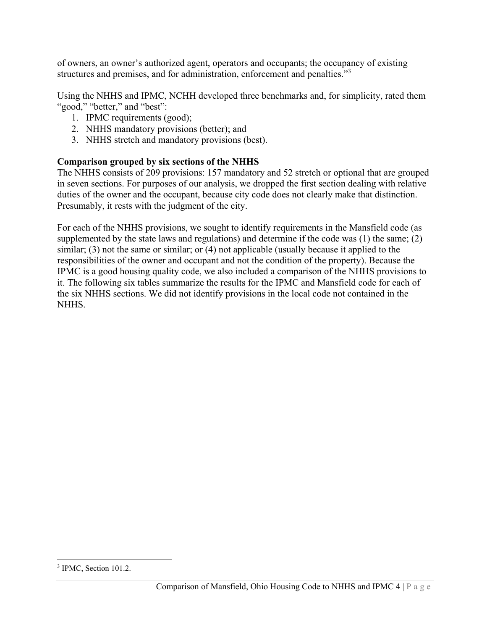of owners, an owner's authorized agent, operators and occupants; the occupancy of existing structures and premises, and for administration, enforcement and penalties."<sup>3</sup>

Using the NHHS and IPMC, NCHH developed three benchmarks and, for simplicity, rated them "good," "better," and "best":

- 1. IPMC requirements (good);
- 2. NHHS mandatory provisions (better); and
- 3. NHHS stretch and mandatory provisions (best).

## **Comparison grouped by six sections of the NHHS**

The NHHS consists of 209 provisions: 157 mandatory and 52 stretch or optional that are grouped in seven sections. For purposes of our analysis, we dropped the first section dealing with relative duties of the owner and the occupant, because city code does not clearly make that distinction. Presumably, it rests with the judgment of the city.

For each of the NHHS provisions, we sought to identify requirements in the Mansfield code (as supplemented by the state laws and regulations) and determine if the code was (1) the same; (2) similar; (3) not the same or similar; or (4) not applicable (usually because it applied to the responsibilities of the owner and occupant and not the condition of the property). Because the IPMC is a good housing quality code, we also included a comparison of the NHHS provisions to it. The following six tables summarize the results for the IPMC and Mansfield code for each of the six NHHS sections. We did not identify provisions in the local code not contained in the NHHS.

<sup>&</sup>lt;sup>3</sup> IPMC, Section 101.2.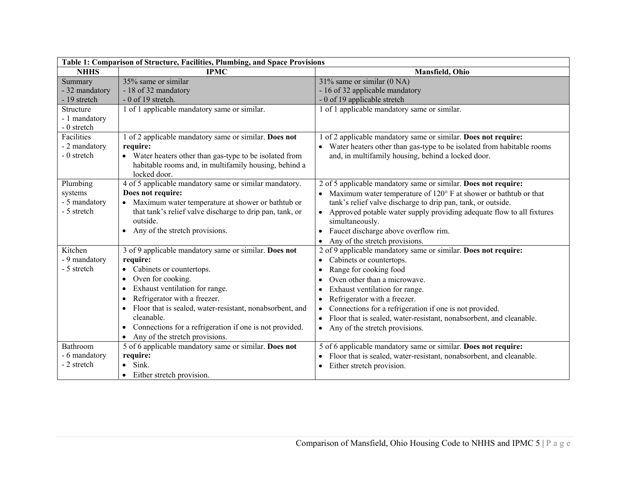| Table 1: Comparison of Structure, Facilities, Plumbing, and Space Provisions |                                                                      |                                                                                  |
|------------------------------------------------------------------------------|----------------------------------------------------------------------|----------------------------------------------------------------------------------|
| <b>NHHS</b>                                                                  | <b>IPMC</b>                                                          | Mansfield, Ohio                                                                  |
| Summary                                                                      | $35\%$ same or similar                                               | $31\%$ same or similar (0 NA)                                                    |
| - 32 mandatory                                                               | - 18 of 32 mandatory                                                 | - 16 of 32 applicable mandatory                                                  |
| - 19 stretch                                                                 | $-0$ of 19 stretch.                                                  | - 0 of 19 applicable stretch                                                     |
| Structure                                                                    | 1 of 1 applicable mandatory same or similar.                         | 1 of 1 applicable mandatory same or similar.                                     |
| - 1 mandatory                                                                |                                                                      |                                                                                  |
| - 0 stretch                                                                  |                                                                      |                                                                                  |
| Facilities                                                                   | 1 of 2 applicable mandatory same or similar. Does not                | of 2 applicable mandatory same or similar. Does not require:                     |
| - 2 mandatory                                                                | require:                                                             | Water heaters other than gas-type to be isolated from habitable rooms            |
| - 0 stretch                                                                  | • Water heaters other than gas-type to be isolated from              | and, in multifamily housing, behind a locked door.                               |
|                                                                              | habitable rooms and, in multifamily housing, behind a                |                                                                                  |
|                                                                              | locked door.                                                         |                                                                                  |
| Plumbing                                                                     | 4 of 5 applicable mandatory same or similar mandatory.               | 2 of 5 applicable mandatory same or similar. Does not require:                   |
| systems                                                                      | Does not require:                                                    | Maximum water temperature of 120° F at shower or bathtub or that                 |
| - 5 mandatory                                                                | • Maximum water temperature at shower or bathtub or                  | tank's relief valve discharge to drip pan, tank, or outside.                     |
| - 5 stretch                                                                  | that tank's relief valve discharge to drip pan, tank, or             | Approved potable water supply providing adequate flow to all fixtures            |
|                                                                              | outside.                                                             | simultaneously.                                                                  |
|                                                                              | Any of the stretch provisions.<br>$\bullet$                          | Faucet discharge above overflow rim.<br>$\bullet$                                |
|                                                                              |                                                                      | Any of the stretch provisions.<br>$\bullet$                                      |
| Kitchen                                                                      | 3 of 9 applicable mandatory same or similar. Does not                | 2 of 9 applicable mandatory same or similar. Does not require:                   |
| - 9 mandatory                                                                | require:                                                             | Cabinets or countertops.<br>$\bullet$                                            |
| - 5 stretch                                                                  | Cabinets or countertops.                                             | Range for cooking food<br>$\bullet$                                              |
|                                                                              | Oven for cooking.                                                    | Oven other than a microwave.                                                     |
|                                                                              | Exhaust ventilation for range.<br>$\bullet$                          | Exhaust ventilation for range.<br>٠                                              |
|                                                                              | Refrigerator with a freezer.                                         | Refrigerator with a freezer.<br>$\bullet$                                        |
|                                                                              | Floor that is sealed, water-resistant, nonabsorbent, and             | Connections for a refrigeration if one is not provided.<br>$\bullet$             |
|                                                                              | cleanable.                                                           | Floor that is sealed, water-resistant, nonabsorbent, and cleanable.<br>$\bullet$ |
|                                                                              | Connections for a refrigeration if one is not provided.<br>$\bullet$ | Any of the stretch provisions.<br>$\bullet$                                      |
|                                                                              | Any of the stretch provisions.                                       |                                                                                  |
| Bathroom                                                                     | 5 of 6 applicable mandatory same or similar. Does not                | 5 of 6 applicable mandatory same or similar. Does not require:                   |
| - 6 mandatory                                                                | require:                                                             | Floor that is sealed, water-resistant, nonabsorbent, and cleanable.              |
| - 2 stretch                                                                  | Sink.                                                                | Either stretch provision.                                                        |
|                                                                              | Either stretch provision.                                            |                                                                                  |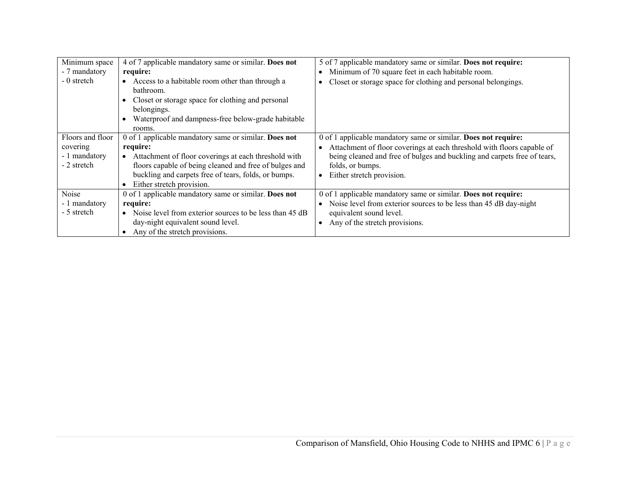| Minimum space<br>- 7 mandatory<br>- 0 stretch                | 4 of 7 applicable mandatory same or similar. Does not<br>require:<br>Access to a habitable room other than through a<br>bathroom.<br>Closet or storage space for clothing and personal<br>belongings.<br>Waterproof and dampness-free below-grade habitable<br>rooms.    | 5 of 7 applicable mandatory same or similar. Does not require:<br>Minimum of 70 square feet in each habitable room.<br>Closet or storage space for clothing and personal belongings.                                                                                  |
|--------------------------------------------------------------|--------------------------------------------------------------------------------------------------------------------------------------------------------------------------------------------------------------------------------------------------------------------------|-----------------------------------------------------------------------------------------------------------------------------------------------------------------------------------------------------------------------------------------------------------------------|
| Floors and floor<br>covering<br>- 1 mandatory<br>- 2 stretch | 0 of 1 applicable mandatory same or similar. Does not<br>require:<br>Attachment of floor coverings at each threshold with<br>floors capable of being cleaned and free of bulges and<br>buckling and carpets free of tears, folds, or bumps.<br>Either stretch provision. | 0 of 1 applicable mandatory same or similar. Does not require:<br>Attachment of floor coverings at each threshold with floors capable of<br>being cleaned and free of bulges and buckling and carpets free of tears,<br>folds, or bumps.<br>Either stretch provision. |
| Noise<br>- 1 mandatory<br>- 5 stretch                        | 0 of 1 applicable mandatory same or similar. Does not<br>require:<br>Noise level from exterior sources to be less than 45 dB<br>day-night equivalent sound level.<br>Any of the stretch provisions.                                                                      | 0 of 1 applicable mandatory same or similar. Does not require:<br>Noise level from exterior sources to be less than 45 dB day-night<br>equivalent sound level.<br>Any of the stretch provisions.                                                                      |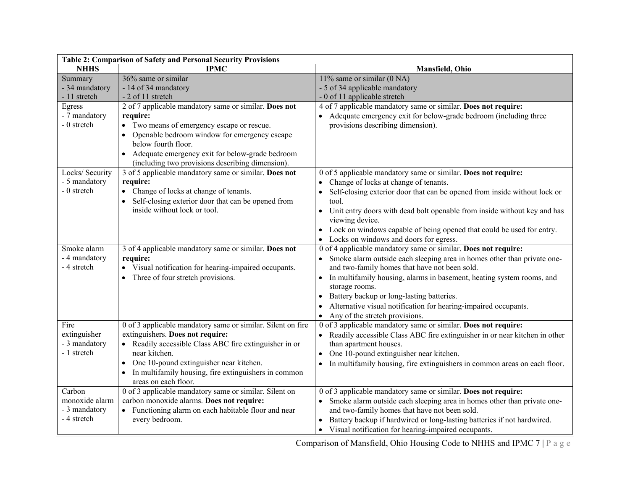| Table 2: Comparison of Safety and Personal Security Provisions |                                                             |                                                                                       |  |
|----------------------------------------------------------------|-------------------------------------------------------------|---------------------------------------------------------------------------------------|--|
| <b>NHHS</b>                                                    | <b>IPMC</b>                                                 | Mansfield, Ohio                                                                       |  |
| Summary                                                        | 36% same or similar                                         | 11% same or similar $(0 NA)$                                                          |  |
| - 34 mandatory                                                 | - 14 of 34 mandatory                                        | - 5 of 34 applicable mandatory                                                        |  |
| - 11 stretch                                                   | - 2 of 11 stretch                                           | - 0 of 11 applicable stretch                                                          |  |
| Egress                                                         | 2 of 7 applicable mandatory same or similar. Does not       | 4 of 7 applicable mandatory same or similar. Does not require:                        |  |
| - 7 mandatory                                                  | require:                                                    | Adequate emergency exit for below-grade bedroom (including three                      |  |
| - 0 stretch                                                    | • Two means of emergency escape or rescue.                  | provisions describing dimension).                                                     |  |
|                                                                | Openable bedroom window for emergency escape                |                                                                                       |  |
|                                                                | below fourth floor.                                         |                                                                                       |  |
|                                                                | • Adequate emergency exit for below-grade bedroom           |                                                                                       |  |
|                                                                | (including two provisions describing dimension).            |                                                                                       |  |
| Locks/ Security                                                | 3 of 5 applicable mandatory same or similar. Does not       | 0 of 5 applicable mandatory same or similar. Does not require:                        |  |
| - 5 mandatory                                                  | require:                                                    | Change of locks at change of tenants.                                                 |  |
| - 0 stretch                                                    | • Change of locks at change of tenants.                     | Self-closing exterior door that can be opened from inside without lock or             |  |
|                                                                | Self-closing exterior door that can be opened from          | tool.                                                                                 |  |
|                                                                | inside without lock or tool.                                | Unit entry doors with dead bolt openable from inside without key and has<br>$\bullet$ |  |
|                                                                |                                                             | viewing device.                                                                       |  |
|                                                                |                                                             | Lock on windows capable of being opened that could be used for entry.                 |  |
|                                                                |                                                             | • Locks on windows and doors for egress.                                              |  |
| Smoke alarm                                                    | 3 of 4 applicable mandatory same or similar. Does not       | 0 of 4 applicable mandatory same or similar. Does not require:                        |  |
| - 4 mandatory                                                  | require:                                                    | Smoke alarm outside each sleeping area in homes other than private one-               |  |
| - 4 stretch                                                    | • Visual notification for hearing-impaired occupants.       | and two-family homes that have not been sold.                                         |  |
|                                                                | • Three of four stretch provisions.                         | In multifamily housing, alarms in basement, heating system rooms, and<br>$\bullet$    |  |
|                                                                |                                                             | storage rooms.                                                                        |  |
|                                                                |                                                             | Battery backup or long-lasting batteries.                                             |  |
|                                                                |                                                             | Alternative visual notification for hearing-impaired occupants.                       |  |
|                                                                |                                                             | Any of the stretch provisions.<br>$\bullet$                                           |  |
| Fire                                                           | 0 of 3 applicable mandatory same or similar. Silent on fire | 0 of 3 applicable mandatory same or similar. Does not require:                        |  |
| extinguisher                                                   | extinguishers. Does not require:                            | Readily accessible Class ABC fire extinguisher in or near kitchen in other            |  |
| - 3 mandatory                                                  | • Readily accessible Class ABC fire extinguisher in or      | than apartment houses.                                                                |  |
| - 1 stretch                                                    | near kitchen.                                               | One 10-pound extinguisher near kitchen.                                               |  |
|                                                                | One 10-pound extinguisher near kitchen.<br>$\bullet$        | In multifamily housing, fire extinguishers in common areas on each floor.             |  |
|                                                                | In multifamily housing, fire extinguishers in common        |                                                                                       |  |
|                                                                | areas on each floor.                                        |                                                                                       |  |
| Carbon                                                         | 0 of 3 applicable mandatory same or similar. Silent on      | 0 of 3 applicable mandatory same or similar. Does not require:                        |  |
| monoxide alarm                                                 | carbon monoxide alarms. Does not require:                   | Smoke alarm outside each sleeping area in homes other than private one-               |  |
| - 3 mandatory                                                  | • Functioning alarm on each habitable floor and near        | and two-family homes that have not been sold.                                         |  |
| - 4 stretch                                                    | every bedroom.                                              | Battery backup if hardwired or long-lasting batteries if not hardwired.               |  |
|                                                                |                                                             | Visual notification for hearing-impaired occupants.<br>$\bullet$                      |  |

Comparison of Mansfield, Ohio Housing Code to NHHS and IPMC 7 | P a g e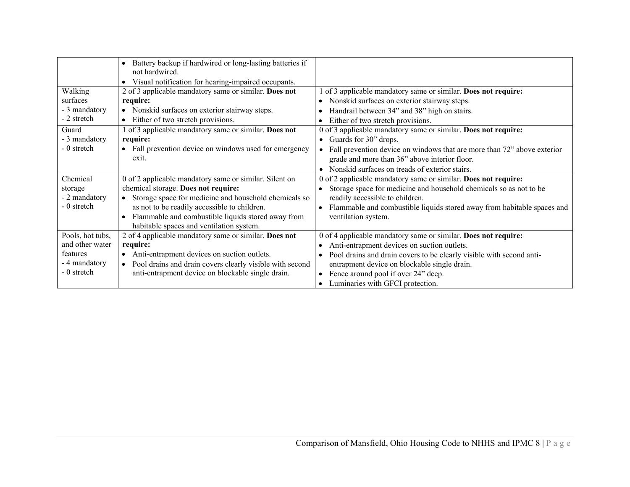|                  | Battery backup if hardwired or long-lasting batteries if<br>$\bullet$<br>not hardwired. |                                                                           |
|------------------|-----------------------------------------------------------------------------------------|---------------------------------------------------------------------------|
|                  | Visual notification for hearing-impaired occupants.<br>$\bullet$                        |                                                                           |
| Walking          | 2 of 3 applicable mandatory same or similar. Does not                                   | of 3 applicable mandatory same or similar. Does not require:              |
| surfaces         | require:                                                                                | Nonskid surfaces on exterior stairway steps.<br>$\bullet$                 |
| - 3 mandatory    | Nonskid surfaces on exterior stairway steps.<br>$\bullet$                               | Handrail between 34" and 38" high on stairs.                              |
| - 2 stretch      | Either of two stretch provisions.<br>$\bullet$                                          | Either of two stretch provisions.                                         |
| Guard            | 1 of 3 applicable mandatory same or similar. Does not                                   | 0 of 3 applicable mandatory same or similar. Does not require:            |
| - 3 mandatory    | require:                                                                                | • Guards for $30$ " drops.                                                |
| - 0 stretch      | Fall prevention device on windows used for emergency<br>$\bullet$                       | • Fall prevention device on windows that are more than 72" above exterior |
|                  | exit.                                                                                   | grade and more than 36" above interior floor.                             |
|                  |                                                                                         | Nonskid surfaces on treads of exterior stairs.<br>$\bullet$               |
| Chemical         | 0 of 2 applicable mandatory same or similar. Silent on                                  | 0 of 2 applicable mandatory same or similar. Does not require:            |
| storage          | chemical storage. Does not require:                                                     | Storage space for medicine and household chemicals so as not to be        |
| - 2 mandatory    | Storage space for medicine and household chemicals so<br>$\bullet$                      | readily accessible to children.                                           |
| - 0 stretch      | as not to be readily accessible to children.                                            | Flammable and combustible liquids stored away from habitable spaces and   |
|                  | Flammable and combustible liquids stored away from                                      | ventilation system.                                                       |
|                  | habitable spaces and ventilation system.                                                |                                                                           |
| Pools, hot tubs, | 2 of 4 applicable mandatory same or similar. Does not                                   | 0 of 4 applicable mandatory same or similar. Does not require:            |
| and other water  | require:                                                                                | Anti-entrapment devices on suction outlets.                               |
| features         | Anti-entrapment devices on suction outlets.<br>$\bullet$                                | Pool drains and drain covers to be clearly visible with second anti-      |
| - 4 mandatory    | Pool drains and drain covers clearly visible with second                                | entrapment device on blockable single drain.                              |
| - 0 stretch      | anti-entrapment device on blockable single drain.                                       | Fence around pool if over 24" deep.<br>$\bullet$                          |
|                  |                                                                                         | Luminaries with GFCI protection.                                          |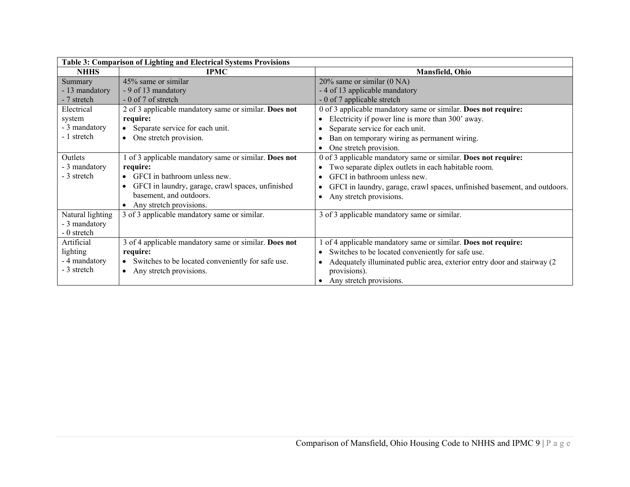| <b>Table 3: Comparison of Lighting and Electrical Systems Provisions</b> |                                                       |                                                                           |
|--------------------------------------------------------------------------|-------------------------------------------------------|---------------------------------------------------------------------------|
| <b>NHHS</b>                                                              | <b>IPMC</b>                                           | Mansfield, Ohio                                                           |
| <b>Summary</b>                                                           | 45% same or similar                                   | $20\%$ same or similar $(0\text{ NA})$                                    |
| - 13 mandatory                                                           | - 9 of 13 mandatory                                   | - 4 of 13 applicable mandatory                                            |
| - 7 stretch                                                              | - 0 of 7 of stretch                                   | - 0 of 7 applicable stretch                                               |
| Electrical                                                               | 2 of 3 applicable mandatory same or similar. Does not | 0 of 3 applicable mandatory same or similar. Does not require:            |
| system                                                                   | require:                                              | Electricity if power line is more than 300' away.                         |
| - 3 mandatory                                                            | • Separate service for each unit.                     | Separate service for each unit.                                           |
| - 1 stretch                                                              | • One stretch provision.                              | Ban on temporary wiring as permanent wiring.                              |
|                                                                          |                                                       | One stretch provision.                                                    |
| Outlets                                                                  | 1 of 3 applicable mandatory same or similar. Does not | 0 of 3 applicable mandatory same or similar. Does not require:            |
| - 3 mandatory                                                            | require:                                              | Two separate diplex outlets in each habitable room.                       |
| - 3 stretch                                                              | • GFCI in bathroom unless new.                        | GFCI in bathroom unless new.                                              |
|                                                                          | GFCI in laundry, garage, crawl spaces, unfinished     | GFCI in laundry, garage, crawl spaces, unfinished basement, and outdoors. |
|                                                                          | basement, and outdoors.                               | Any stretch provisions.                                                   |
|                                                                          | • Any stretch provisions.                             |                                                                           |
| Natural lighting                                                         | 3 of 3 applicable mandatory same or similar.          | 3 of 3 applicable mandatory same or similar.                              |
| - 3 mandatory                                                            |                                                       |                                                                           |
| - 0 stretch                                                              |                                                       |                                                                           |
| Artificial                                                               | 3 of 4 applicable mandatory same or similar. Does not | of 4 applicable mandatory same or similar. Does not require:              |
| lighting                                                                 | require:                                              | Switches to be located conveniently for safe use.                         |
| - 4 mandatory                                                            | • Switches to be located conveniently for safe use.   | Adequately illuminated public area, exterior entry door and stairway (2)  |
| - 3 stretch                                                              | Any stretch provisions.                               | provisions).                                                              |
|                                                                          |                                                       | Any stretch provisions.                                                   |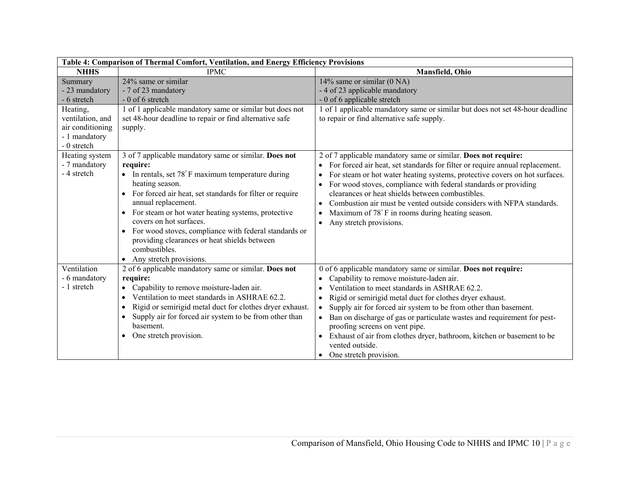| Table 4: Comparison of Thermal Comfort, Ventilation, and Energy Efficiency Provisions                                        |                                                                                                                                                                                                                                                                                                                                                                                                                                                                                                           |                                                                                                                                                                                                                                                                                                                                                                                                                                                                                                                                                           |  |
|------------------------------------------------------------------------------------------------------------------------------|-----------------------------------------------------------------------------------------------------------------------------------------------------------------------------------------------------------------------------------------------------------------------------------------------------------------------------------------------------------------------------------------------------------------------------------------------------------------------------------------------------------|-----------------------------------------------------------------------------------------------------------------------------------------------------------------------------------------------------------------------------------------------------------------------------------------------------------------------------------------------------------------------------------------------------------------------------------------------------------------------------------------------------------------------------------------------------------|--|
| <b>NHHS</b>                                                                                                                  | <b>IPMC</b>                                                                                                                                                                                                                                                                                                                                                                                                                                                                                               | Mansfield, Ohio                                                                                                                                                                                                                                                                                                                                                                                                                                                                                                                                           |  |
| Summary<br>- 23 mandatory<br>- 6 stretch<br>Heating,<br>ventilation, and<br>air conditioning<br>- 1 mandatory<br>- 0 stretch | 24% same or similar<br>- 7 of 23 mandatory<br>$-0$ of 6 stretch<br>1 of 1 applicable mandatory same or similar but does not<br>set 48-hour deadline to repair or find alternative safe<br>supply.                                                                                                                                                                                                                                                                                                         | 14% same or similar $(0 \overline{NA})$<br>- 4 of 23 applicable mandatory<br>- 0 of 6 applicable stretch<br>1 of 1 applicable mandatory same or similar but does not set 48-hour deadline<br>to repair or find alternative safe supply.                                                                                                                                                                                                                                                                                                                   |  |
| Heating system<br>- 7 mandatory<br>- 4 stretch                                                                               | 3 of 7 applicable mandatory same or similar. Does not<br>require:<br>In rentals, set 78°F maximum temperature during<br>heating season.<br>For forced air heat, set standards for filter or require<br>$\bullet$<br>annual replacement.<br>• For steam or hot water heating systems, protective<br>covers on hot surfaces.<br>For wood stoves, compliance with federal standards or<br>$\bullet$<br>providing clearances or heat shields between<br>combustibles.<br>Any stretch provisions.<br>$\bullet$ | 2 of 7 applicable mandatory same or similar. Does not require:<br>For forced air heat, set standards for filter or require annual replacement.<br>For steam or hot water heating systems, protective covers on hot surfaces.<br>For wood stoves, compliance with federal standards or providing<br>clearances or heat shields between combustibles.<br>Combustion air must be vented outside considers with NFPA standards.<br>Maximum of 78°F in rooms during heating season.<br>$\bullet$<br>Any stretch provisions.                                    |  |
| Ventilation<br>- 6 mandatory<br>- 1 stretch                                                                                  | 2 of 6 applicable mandatory same or similar. Does not<br>require:<br>Capability to remove moisture-laden air.<br>Ventilation to meet standards in ASHRAE 62.2.<br>$\bullet$<br>Rigid or semirigid metal duct for clothes dryer exhaust.<br>$\bullet$<br>Supply air for forced air system to be from other than<br>$\bullet$<br>basement.<br>One stretch provision.<br>$\bullet$                                                                                                                           | 0 of 6 applicable mandatory same or similar. Does not require:<br>Capability to remove moisture-laden air.<br>Ventilation to meet standards in ASHRAE 62.2.<br>Rigid or semirigid metal duct for clothes dryer exhaust.<br>$\bullet$<br>Supply air for forced air system to be from other than basement.<br>Ban on discharge of gas or particulate wastes and requirement for pest-<br>$\bullet$<br>proofing screens on vent pipe.<br>Exhaust of air from clothes dryer, bathroom, kitchen or basement to be<br>vented outside.<br>One stretch provision. |  |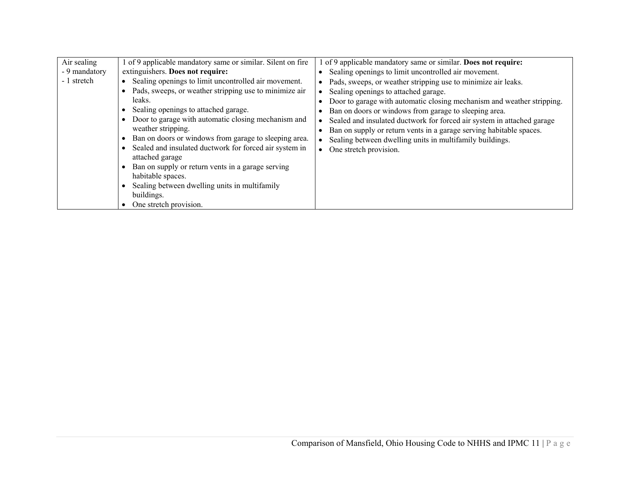| Air sealing<br>- 9 mandatory<br>- 1 stretch | of 9 applicable mandatory same or similar. Silent on fire<br>extinguishers. Does not require:<br>Sealing openings to limit uncontrolled air movement.<br>Pads, sweeps, or weather stripping use to minimize air<br>leaks.<br>Sealing openings to attached garage.<br>Door to garage with automatic closing mechanism and<br>weather stripping.<br>Ban on doors or windows from garage to sleeping area.<br>Sealed and insulated ductwork for forced air system in<br>attached garage<br>Ban on supply or return vents in a garage serving<br>habitable spaces.<br>Sealing between dwelling units in multifamily<br>buildings.<br>One stretch provision. | of 9 applicable mandatory same or similar. Does not require:<br>Sealing openings to limit uncontrolled air movement.<br>Pads, sweeps, or weather stripping use to minimize air leaks.<br>Sealing openings to attached garage.<br>Door to garage with automatic closing mechanism and weather stripping.<br>Ban on doors or windows from garage to sleeping area.<br>Sealed and insulated ductwork for forced air system in attached garage<br>Ban on supply or return vents in a garage serving habitable spaces.<br>Sealing between dwelling units in multifamily buildings.<br>One stretch provision. |
|---------------------------------------------|---------------------------------------------------------------------------------------------------------------------------------------------------------------------------------------------------------------------------------------------------------------------------------------------------------------------------------------------------------------------------------------------------------------------------------------------------------------------------------------------------------------------------------------------------------------------------------------------------------------------------------------------------------|---------------------------------------------------------------------------------------------------------------------------------------------------------------------------------------------------------------------------------------------------------------------------------------------------------------------------------------------------------------------------------------------------------------------------------------------------------------------------------------------------------------------------------------------------------------------------------------------------------|
|---------------------------------------------|---------------------------------------------------------------------------------------------------------------------------------------------------------------------------------------------------------------------------------------------------------------------------------------------------------------------------------------------------------------------------------------------------------------------------------------------------------------------------------------------------------------------------------------------------------------------------------------------------------------------------------------------------------|---------------------------------------------------------------------------------------------------------------------------------------------------------------------------------------------------------------------------------------------------------------------------------------------------------------------------------------------------------------------------------------------------------------------------------------------------------------------------------------------------------------------------------------------------------------------------------------------------------|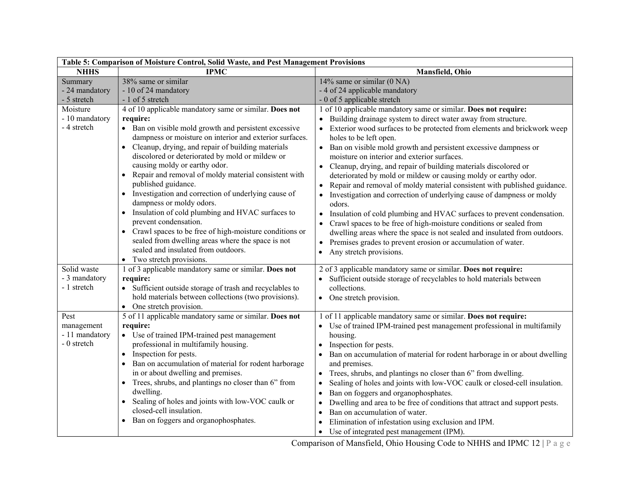| Table 5: Comparison of Moisture Control, Solid Waste, and Pest Management Provisions |                                                                                   |                                                                                         |  |
|--------------------------------------------------------------------------------------|-----------------------------------------------------------------------------------|-----------------------------------------------------------------------------------------|--|
| <b>NHHS</b>                                                                          | <b>IPMC</b>                                                                       | Mansfield, Ohio                                                                         |  |
| Summary                                                                              | 38% same or similar                                                               | 14% same or similar (0 NA)                                                              |  |
| - 24 mandatory                                                                       | - 10 of 24 mandatory                                                              | - 4 of 24 applicable mandatory                                                          |  |
| - 5 stretch                                                                          | - 1 of 5 stretch                                                                  | - 0 of 5 applicable stretch                                                             |  |
| Moisture                                                                             | 4 of 10 applicable mandatory same or similar. Does not                            | 1 of 10 applicable mandatory same or similar. Does not require:                         |  |
| - 10 mandatory                                                                       | require:                                                                          | • Building drainage system to direct water away from structure.                         |  |
| - 4 stretch                                                                          | • Ban on visible mold growth and persistent excessive                             | Exterior wood surfaces to be protected from elements and brickwork weep                 |  |
|                                                                                      | dampness or moisture on interior and exterior surfaces.                           | holes to be left open.                                                                  |  |
|                                                                                      | • Cleanup, drying, and repair of building materials                               | • Ban on visible mold growth and persistent excessive dampness or                       |  |
|                                                                                      | discolored or deteriorated by mold or mildew or                                   | moisture on interior and exterior surfaces.                                             |  |
|                                                                                      | causing moldy or earthy odor.                                                     | Cleanup, drying, and repair of building materials discolored or<br>$\bullet$            |  |
|                                                                                      | Repair and removal of moldy material consistent with                              | deteriorated by mold or mildew or causing moldy or earthy odor.                         |  |
|                                                                                      | published guidance.                                                               | Repair and removal of moldy material consistent with published guidance.                |  |
|                                                                                      | • Investigation and correction of underlying cause of<br>dampness or moldy odors. | Investigation and correction of underlying cause of dampness or moldy<br>odors.         |  |
|                                                                                      | • Insulation of cold plumbing and HVAC surfaces to                                | Insulation of cold plumbing and HVAC surfaces to prevent condensation.                  |  |
|                                                                                      | prevent condensation.                                                             | Crawl spaces to be free of high-moisture conditions or sealed from                      |  |
|                                                                                      | Crawl spaces to be free of high-moisture conditions or                            | dwelling areas where the space is not sealed and insulated from outdoors.               |  |
|                                                                                      | sealed from dwelling areas where the space is not                                 | • Premises grades to prevent erosion or accumulation of water.                          |  |
|                                                                                      | sealed and insulated from outdoors.                                               | Any stretch provisions.<br>$\bullet$                                                    |  |
|                                                                                      | • Two stretch provisions.                                                         |                                                                                         |  |
| Solid waste                                                                          | 1 of 3 applicable mandatory same or similar. Does not                             | 2 of 3 applicable mandatory same or similar. Does not require:                          |  |
| - 3 mandatory                                                                        | require:                                                                          | • Sufficient outside storage of recyclables to hold materials between                   |  |
| - 1 stretch                                                                          | • Sufficient outside storage of trash and recyclables to                          | collections.                                                                            |  |
|                                                                                      | hold materials between collections (two provisions).                              | • One stretch provision.                                                                |  |
|                                                                                      | One stretch provision.<br>$\bullet$                                               |                                                                                         |  |
| Pest                                                                                 | 5 of 11 applicable mandatory same or similar. Does not                            | 1 of 11 applicable mandatory same or similar. Does not require:                         |  |
| management                                                                           | require:                                                                          | Use of trained IPM-trained pest management professional in multifamily                  |  |
| - 11 mandatory                                                                       | • Use of trained IPM-trained pest management                                      | housing.                                                                                |  |
| - 0 stretch                                                                          | professional in multifamily housing.                                              | Inspection for pests.                                                                   |  |
|                                                                                      | Inspection for pests.<br>$\bullet$                                                | Ban on accumulation of material for rodent harborage in or about dwelling               |  |
|                                                                                      | Ban on accumulation of material for rodent harborage                              | and premises.                                                                           |  |
|                                                                                      | in or about dwelling and premises.                                                | Trees, shrubs, and plantings no closer than 6" from dwelling.<br>$\bullet$              |  |
|                                                                                      | Trees, shrubs, and plantings no closer than 6" from<br>$\bullet$                  | Sealing of holes and joints with low-VOC caulk or closed-cell insulation.               |  |
|                                                                                      | dwelling.                                                                         | Ban on foggers and organophosphates.<br>٠                                               |  |
|                                                                                      | Sealing of holes and joints with low-VOC caulk or<br>$\bullet$                    | Dwelling and area to be free of conditions that attract and support pests.<br>$\bullet$ |  |
|                                                                                      | closed-cell insulation.                                                           | Ban on accumulation of water.<br>$\bullet$                                              |  |
|                                                                                      | Ban on foggers and organophosphates.<br>$\bullet$                                 | Elimination of infestation using exclusion and IPM.                                     |  |
|                                                                                      |                                                                                   | • Use of integrated pest management (IPM).                                              |  |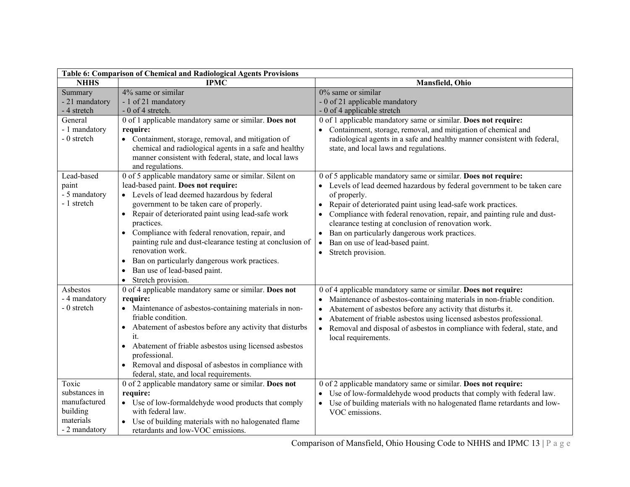| Table 6: Comparison of Chemical and Radiological Agents Provisions               |                                                                                                                                                                                                                                                                                                                                                                                                                                                                                                                                                                          |                                                                                                                                                                                                                                                                                                                                                                                                                                                                                                                            |  |
|----------------------------------------------------------------------------------|--------------------------------------------------------------------------------------------------------------------------------------------------------------------------------------------------------------------------------------------------------------------------------------------------------------------------------------------------------------------------------------------------------------------------------------------------------------------------------------------------------------------------------------------------------------------------|----------------------------------------------------------------------------------------------------------------------------------------------------------------------------------------------------------------------------------------------------------------------------------------------------------------------------------------------------------------------------------------------------------------------------------------------------------------------------------------------------------------------------|--|
| <b>NHHS</b>                                                                      | <b>IPMC</b>                                                                                                                                                                                                                                                                                                                                                                                                                                                                                                                                                              | Mansfield, Ohio                                                                                                                                                                                                                                                                                                                                                                                                                                                                                                            |  |
| Summary<br>- 21 mandatory<br>- 4 stretch                                         | 4% same or similar<br>- 1 of 21 mandatory<br>- 0 of 4 stretch.                                                                                                                                                                                                                                                                                                                                                                                                                                                                                                           | 0% same or similar<br>- 0 of 21 applicable mandatory<br>- 0 of 4 applicable stretch                                                                                                                                                                                                                                                                                                                                                                                                                                        |  |
| General<br>- 1 mandatory<br>- 0 stretch                                          | 0 of 1 applicable mandatory same or similar. Does not<br>require:<br>• Containment, storage, removal, and mitigation of<br>chemical and radiological agents in a safe and healthy<br>manner consistent with federal, state, and local laws<br>and regulations.                                                                                                                                                                                                                                                                                                           | 0 of 1 applicable mandatory same or similar. Does not require:<br>• Containment, storage, removal, and mitigation of chemical and<br>radiological agents in a safe and healthy manner consistent with federal,<br>state, and local laws and regulations.                                                                                                                                                                                                                                                                   |  |
| Lead-based<br>paint<br>- 5 mandatory<br>- 1 stretch                              | 0 of 5 applicable mandatory same or similar. Silent on<br>lead-based paint. Does not require:<br>• Levels of lead deemed hazardous by federal<br>government to be taken care of properly.<br>Repair of deteriorated paint using lead-safe work<br>$\bullet$<br>practices.<br>Compliance with federal renovation, repair, and<br>$\bullet$<br>painting rule and dust-clearance testing at conclusion of<br>renovation work.<br>Ban on particularly dangerous work practices.<br>$\bullet$<br>Ban use of lead-based paint.<br>$\bullet$<br>Stretch provision.<br>$\bullet$ | 0 of 5 applicable mandatory same or similar. Does not require:<br>• Levels of lead deemed hazardous by federal government to be taken care<br>of properly.<br>Repair of deteriorated paint using lead-safe work practices.<br>$\bullet$<br>Compliance with federal renovation, repair, and painting rule and dust-<br>clearance testing at conclusion of renovation work.<br>Ban on particularly dangerous work practices.<br>$\bullet$<br>Ban on use of lead-based paint.<br>$\bullet$<br>Stretch provision.<br>$\bullet$ |  |
| Asbestos<br>- 4 mandatory<br>- 0 stretch                                         | 0 of 4 applicable mandatory same or similar. Does not<br>require:<br>Maintenance of asbestos-containing materials in non-<br>friable condition.<br>Abatement of asbestos before any activity that disturbs<br>$\bullet$<br>it.<br>Abatement of friable asbestos using licensed asbestos<br>$\bullet$<br>professional.<br>• Removal and disposal of asbestos in compliance with<br>federal, state, and local requirements.                                                                                                                                                | 0 of 4 applicable mandatory same or similar. Does not require:<br>Maintenance of asbestos-containing materials in non-friable condition.<br>Abatement of asbestos before any activity that disturbs it.<br>Abatement of friable asbestos using licensed asbestos professional.<br>Removal and disposal of asbestos in compliance with federal, state, and<br>local requirements.                                                                                                                                           |  |
| Toxic<br>substances in<br>manufactured<br>building<br>materials<br>- 2 mandatory | 0 of 2 applicable mandatory same or similar. Does not<br>require:<br>• Use of low-formal dehyde wood products that comply<br>with federal law.<br>• Use of building materials with no halogenated flame<br>retardants and low-VOC emissions.                                                                                                                                                                                                                                                                                                                             | 0 of 2 applicable mandatory same or similar. Does not require:<br>• Use of low-formaldehyde wood products that comply with federal law.<br>• Use of building materials with no halogenated flame retardants and low-<br>VOC emissions.                                                                                                                                                                                                                                                                                     |  |

Comparison of Mansfield, Ohio Housing Code to NHHS and IPMC 13 | P a g e